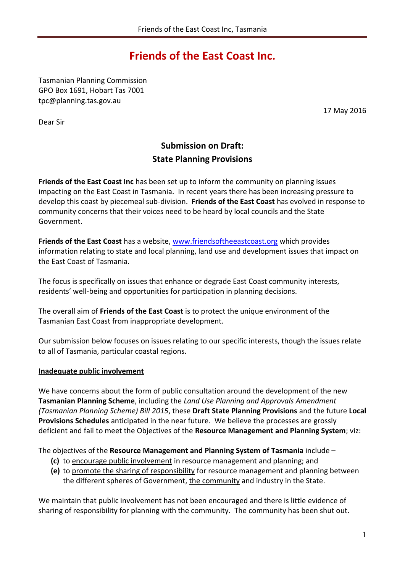# **Friends of the East Coast Inc.**

Tasmanian Planning Commission GPO Box 1691, Hobart Tas 7001 tpc@planning.tas.gov.au

Dear Sir

17 May 2016

## **Submission on Draft: State Planning Provisions**

**Friends of the East Coast Inc** has been set up to inform the community on planning issues impacting on the East Coast in Tasmania. In recent years there has been increasing pressure to develop this coast by piecemeal sub-division. **Friends of the East Coast** has evolved in response to community concerns that their voices need to be heard by local councils and the State Government.

**Friends of the East Coast** has a website, [www.friendsoftheeastcoast.org](http://www.friendsoftheeastcoast.org/) which provides information relating to state and local planning, land use and development issues that impact on the East Coast of Tasmania.

The focus is specifically on issues that enhance or degrade East Coast community interests, residents' well-being and opportunities for participation in planning decisions.

The overall aim of **Friends of the East Coast** is to protect the unique environment of the Tasmanian East Coast from inappropriate development.

Our submission below focuses on issues relating to our specific interests, though the issues relate to all of Tasmania, particular coastal regions.

#### **Inadequate public involvement**

We have concerns about the form of public consultation around the development of the new **Tasmanian Planning Scheme**, including the *Land Use Planning and Approvals Amendment (Tasmanian Planning Scheme) Bill 2015*, these **Draft State Planning Provisions** and the future **Local Provisions Schedules** anticipated in the near future. We believe the processes are grossly deficient and fail to meet the Objectives of the **Resource Management and Planning System**; viz:

The objectives of the **Resource Management and Planning System of Tasmania** include –

- **(c)** to encourage public involvement in resource management and planning; and
- **(e)** to promote the sharing of responsibility for resource management and planning between the different spheres of Government, the community and industry in the State.

We maintain that public involvement has not been encouraged and there is little evidence of sharing of responsibility for planning with the community. The community has been shut out.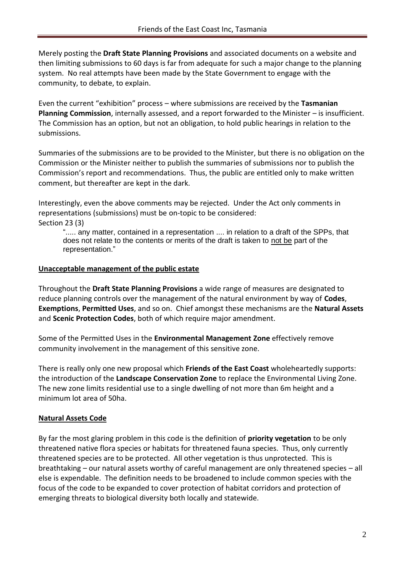Merely posting the **Draft State Planning Provisions** and associated documents on a website and then limiting submissions to 60 days is far from adequate for such a major change to the planning system. No real attempts have been made by the State Government to engage with the community, to debate, to explain.

Even the current "exhibition" process – where submissions are received by the **Tasmanian Planning Commission**, internally assessed, and a report forwarded to the Minister – is insufficient. The Commission has an option, but not an obligation, to hold public hearings in relation to the submissions.

Summaries of the submissions are to be provided to the Minister, but there is no obligation on the Commission or the Minister neither to publish the summaries of submissions nor to publish the Commission's report and recommendations. Thus, the public are entitled only to make written comment, but thereafter are kept in the dark.

Interestingly, even the above comments may be rejected. Under the Act only comments in representations (submissions) must be on-topic to be considered: Section 23 (3)

"..... any matter, contained in a representation .... in relation to a draft of the SPPs, that does not relate to the contents or merits of the draft is taken to not be part of the representation."

#### **Unacceptable management of the public estate**

Throughout the **Draft State Planning Provisions** a wide range of measures are designated to reduce planning controls over the management of the natural environment by way of **Codes**, **Exemptions**, **Permitted Uses**, and so on. Chief amongst these mechanisms are the **Natural Assets** and **Scenic Protection Codes**, both of which require major amendment.

Some of the Permitted Uses in the **Environmental Management Zone** effectively remove community involvement in the management of this sensitive zone.

There is really only one new proposal which **Friends of the East Coast** wholeheartedly supports: the introduction of the **Landscape Conservation Zone** to replace the Environmental Living Zone. The new zone limits residential use to a single dwelling of not more than 6m height and a minimum lot area of 50ha.

#### **Natural Assets Code**

By far the most glaring problem in this code is the definition of **priority vegetation** to be only threatened native flora species or habitats for threatened fauna species. Thus, only currently threatened species are to be protected. All other vegetation is thus unprotected. This is breathtaking – our natural assets worthy of careful management are only threatened species – all else is expendable. The definition needs to be broadened to include common species with the focus of the code to be expanded to cover protection of habitat corridors and protection of emerging threats to biological diversity both locally and statewide.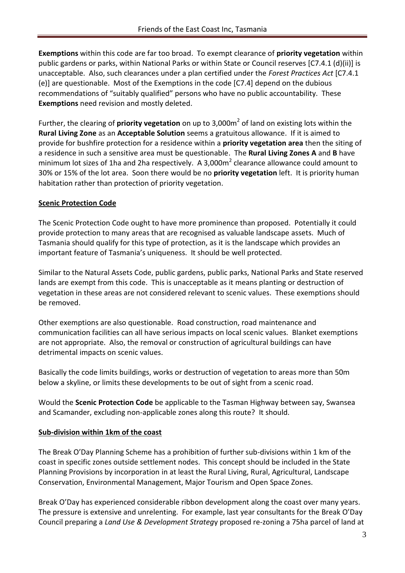**Exemptions** within this code are far too broad. To exempt clearance of **priority vegetation** within public gardens or parks, within National Parks or within State or Council reserves [C7.4.1 (d)(ii)] is unacceptable. Also, such clearances under a plan certified under the *Forest Practices Act* [C7.4.1 (e)] are questionable. Most of the Exemptions in the code [C7.4] depend on the dubious recommendations of "suitably qualified" persons who have no public accountability. These **Exemptions** need revision and mostly deleted.

Further, the clearing of **priority vegetation** on up to 3,000m<sup>2</sup> of land on existing lots within the **Rural Living Zone** as an **Acceptable Solution** seems a gratuitous allowance. If it is aimed to provide for bushfire protection for a residence within a **priority vegetation area** then the siting of a residence in such a sensitive area must be questionable. The **Rural Living Zones A** and **B** have minimum lot sizes of 1ha and 2ha respectively. A 3,000 $m<sup>2</sup>$  clearance allowance could amount to 30% or 15% of the lot area. Soon there would be no **priority vegetation** left. It is priority human habitation rather than protection of priority vegetation.

#### **Scenic Protection Code**

The Scenic Protection Code ought to have more prominence than proposed. Potentially it could provide protection to many areas that are recognised as valuable landscape assets. Much of Tasmania should qualify for this type of protection, as it is the landscape which provides an important feature of Tasmania's uniqueness. It should be well protected.

Similar to the Natural Assets Code, public gardens, public parks, National Parks and State reserved lands are exempt from this code. This is unacceptable as it means planting or destruction of vegetation in these areas are not considered relevant to scenic values. These exemptions should be removed.

Other exemptions are also questionable. Road construction, road maintenance and communication facilities can all have serious impacts on local scenic values. Blanket exemptions are not appropriate. Also, the removal or construction of agricultural buildings can have detrimental impacts on scenic values.

Basically the code limits buildings, works or destruction of vegetation to areas more than 50m below a skyline, or limits these developments to be out of sight from a scenic road.

Would the **Scenic Protection Code** be applicable to the Tasman Highway between say, Swansea and Scamander, excluding non-applicable zones along this route? It should.

#### **Sub-division within 1km of the coast**

The Break O'Day Planning Scheme has a prohibition of further sub-divisions within 1 km of the coast in specific zones outside settlement nodes. This concept should be included in the State Planning Provisions by incorporation in at least the Rural Living, Rural, Agricultural, Landscape Conservation, Environmental Management, Major Tourism and Open Space Zones.

Break O'Day has experienced considerable ribbon development along the coast over many years. The pressure is extensive and unrelenting. For example, last year consultants for the Break O'Day Council preparing a *Land Use & Development Strateg*y proposed re-zoning a 75ha parcel of land at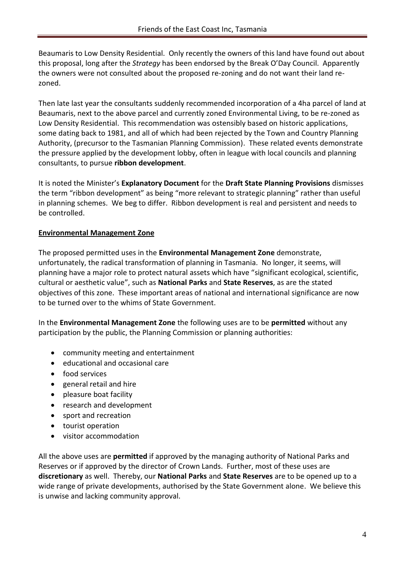Beaumaris to Low Density Residential. Only recently the owners of this land have found out about this proposal, long after the *Strategy* has been endorsed by the Break O'Day Council. Apparently the owners were not consulted about the proposed re-zoning and do not want their land rezoned.

Then late last year the consultants suddenly recommended incorporation of a 4ha parcel of land at Beaumaris, next to the above parcel and currently zoned Environmental Living, to be re-zoned as Low Density Residential. This recommendation was ostensibly based on historic applications, some dating back to 1981, and all of which had been rejected by the Town and Country Planning Authority, (precursor to the Tasmanian Planning Commission). These related events demonstrate the pressure applied by the development lobby, often in league with local councils and planning consultants, to pursue **ribbon development**.

It is noted the Minister's **Explanatory Document** for the **Draft State Planning Provisions** dismisses the term "ribbon development" as being "more relevant to strategic planning" rather than useful in planning schemes. We beg to differ. Ribbon development is real and persistent and needs to be controlled.

#### **Environmental Management Zone**

The proposed permitted uses in the **Environmental Management Zone** demonstrate, unfortunately, the radical transformation of planning in Tasmania. No longer, it seems, will planning have a major role to protect natural assets which have "significant ecological, scientific, cultural or aesthetic value", such as **National Parks** and **State Reserves**, as are the stated objectives of this zone. These important areas of national and international significance are now to be turned over to the whims of State Government.

In the **Environmental Management Zone** the following uses are to be **permitted** without any participation by the public, the Planning Commission or planning authorities:

- community meeting and entertainment
- educational and occasional care
- food services
- general retail and hire
- pleasure boat facility
- research and development
- sport and recreation
- tourist operation
- visitor accommodation

All the above uses are **permitted** if approved by the managing authority of National Parks and Reserves or if approved by the director of Crown Lands. Further, most of these uses are **discretionary** as well. Thereby, our **National Parks** and **State Reserves** are to be opened up to a wide range of private developments, authorised by the State Government alone. We believe this is unwise and lacking community approval.